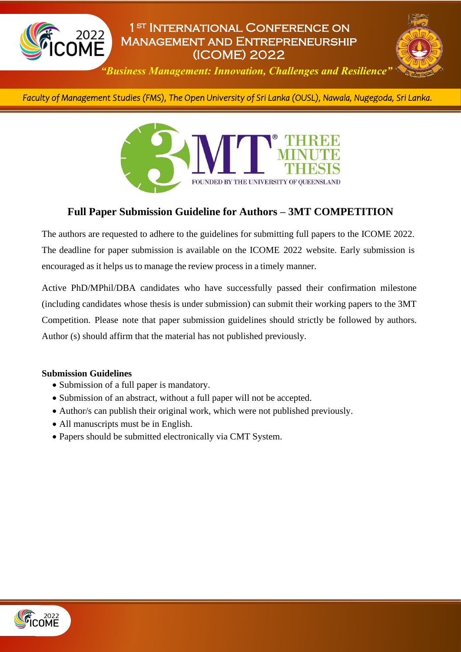

# 1st International Conference on Management and Entrepreneurship (ICOME) 2022



*"Business Management: Innovation, Challenges and Resilience"*

*Faculty of Management Studies (FMS), The Open University of Sri Lanka (OUSL), Nawala, Nugegoda, Sri Lanka.* 



### **Full Paper Submission Guideline for Authors – 3MT COMPETITION**

The authors are requested to adhere to the guidelines for submitting full papers to the ICOME 2022. The deadline for paper submission is available on the ICOME 2022 website. Early submission is encouraged as it helps us to manage the review process in a timely manner.

Active PhD/MPhil/DBA candidates who have successfully passed their confirmation milestone (including candidates whose thesis is under submission) can submit their working papers to the 3MT Competition. Please note that paper submission guidelines should strictly be followed by authors. Author (s) should affirm that the material has not published previously.

#### **Submission Guidelines**

- Submission of a full paper is mandatory.
- Submission of an abstract, without a full paper will not be accepted.
- Author/s can publish their original work, which were not published previously.
- All manuscripts must be in English.
- Papers should be submitted electronically via CMT System.

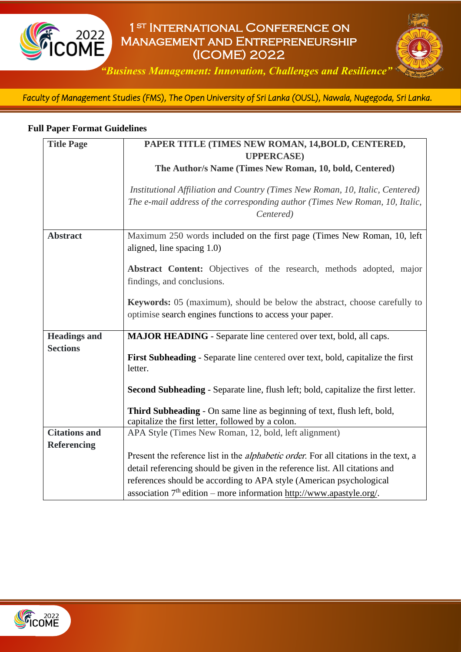

# 1st International Conference on Management and Entrepreneurship (ICOME) 2022



*"Business Management: Innovation, Challenges and Resilience"*

*Faculty of Management Studies (FMS), The Open University of Sri Lanka (OUSL), Nawala, Nugegoda, Sri Lanka.*  l

#### **Full Paper Format Guidelines**

| <b>Title Page</b>    | PAPER TITLE (TIMES NEW ROMAN, 14, BOLD, CENTERED,                                                                                                                          |
|----------------------|----------------------------------------------------------------------------------------------------------------------------------------------------------------------------|
|                      | <b>UPPERCASE</b> )                                                                                                                                                         |
|                      | The Author/s Name (Times New Roman, 10, bold, Centered)                                                                                                                    |
|                      | Institutional Affiliation and Country (Times New Roman, 10, Italic, Centered)<br>The e-mail address of the corresponding author (Times New Roman, 10, Italic,<br>Centered) |
| <b>Abstract</b>      | Maximum 250 words included on the first page (Times New Roman, 10, left<br>aligned, line spacing 1.0)                                                                      |
|                      | Abstract Content: Objectives of the research, methods adopted, major<br>findings, and conclusions.                                                                         |
|                      | <b>Keywords:</b> 05 (maximum), should be below the abstract, choose carefully to<br>optimise search engines functions to access your paper.                                |
| <b>Headings and</b>  | <b>MAJOR HEADING</b> - Separate line centered over text, bold, all caps.                                                                                                   |
| <b>Sections</b>      | First Subheading - Separate line centered over text, bold, capitalize the first<br>letter.                                                                                 |
|                      | Second Subheading - Separate line, flush left; bold, capitalize the first letter.                                                                                          |
|                      | Third Subheading - On same line as beginning of text, flush left, bold,<br>capitalize the first letter, followed by a colon.                                               |
| <b>Citations and</b> | APA Style (Times New Roman, 12, bold, left alignment)                                                                                                                      |
| <b>Referencing</b>   |                                                                                                                                                                            |
|                      | Present the reference list in the <i>alphabetic order</i> . For all citations in the text, a                                                                               |
|                      | detail referencing should be given in the reference list. All citations and                                                                                                |
|                      | references should be according to APA style (American psychological<br>association 7 <sup>th</sup> edition – more information http://www.apastyle.org/.                    |